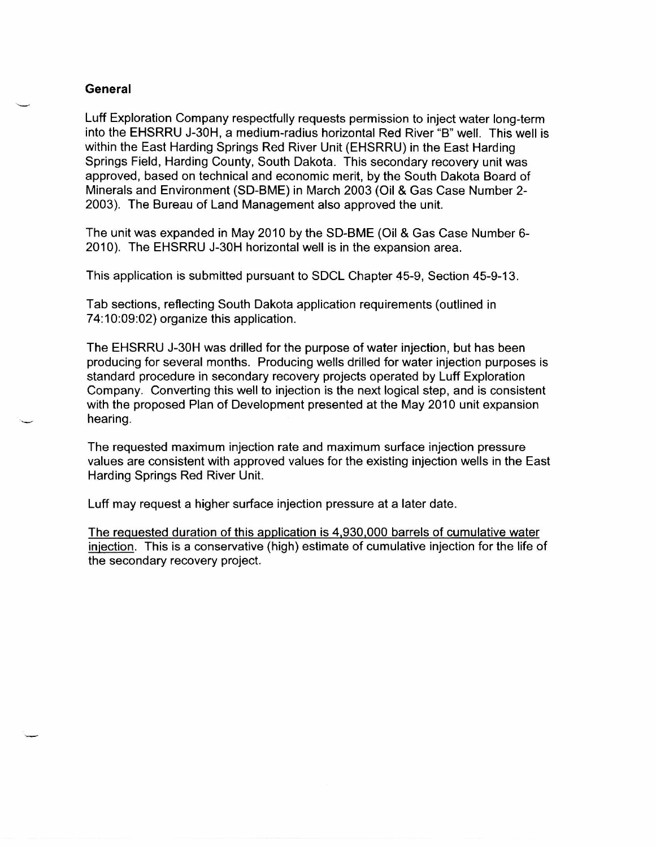## **General**

Luff Exploration Company respectfully requests permission to inject water long-term into the EHSRRU J-30H, a medium-radius horizontal Red River "B" well. This well is within the East Harding Springs Red River Unit (EHSRRU) in the East Harding Springs Field, Harding County, South Dakota. This secondary recovery unit was approved, based on technical and economic merit, by the South Dakota Board of Minerals and Environment (SD-BME) in March 2003 (Oil & Gas Case Number 2- 2003). The Bureau of Land Management also approved the unit.

The unit was expanded in May 2010 by the SD-BME (Oil & Gas Case Number 6- 2010). The EHSRRU J-30H horizontal well is in the expansion area.

This application is submitted pursuant to SDCL Chapter 45-9, Section 45-9-13.

Tab sections, reflecting South Dakota application requirements (outlined in 74:10:09:02) organize this application.

The EHSRRU J-30H was drilled for the purpose of water injection, but has been producing for several months. Producing wells drilled for water injection purposes is standard procedure in secondary recovery projects operated by Luff Exploration Company. Converting this well to injection is the next logical step, and is consistent with the proposed Plan of Development presented at the May 2010 unit expansion hearing.

The requested maximum injection rate and maximum surface injection pressure values are consistent with approved values for the existing injection wells in the East Harding Springs Red River Unit.

Luff may request a higher surface injection pressure at a later date.

The requested duration of this application is 4,930,000 barrels of cumulative water injection. This is a conservative (high) estimate of cumulative injection for the life of the secondary recovery project.